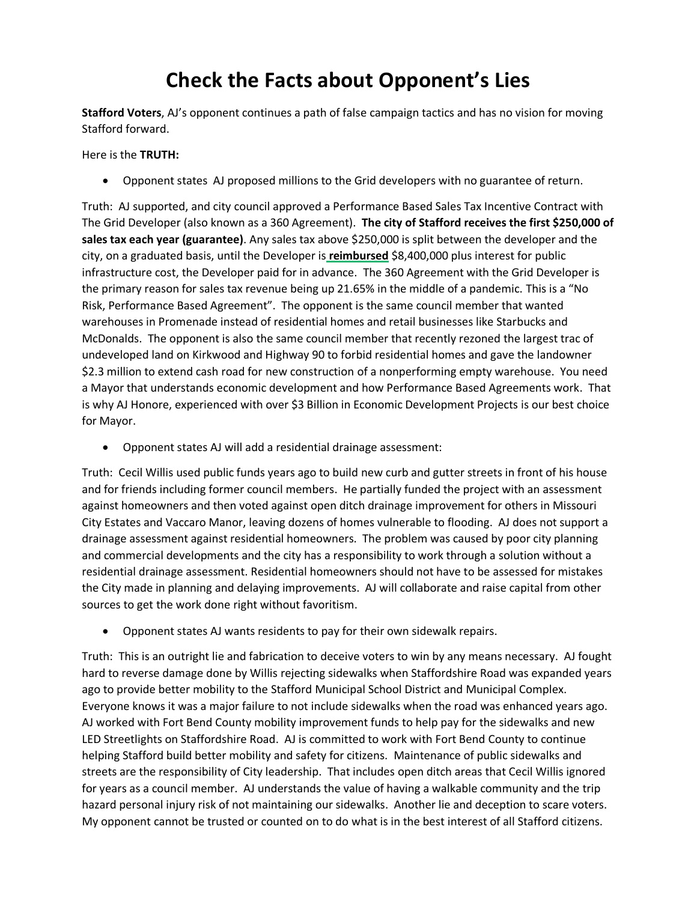## **Check the Facts about Opponent's Lies**

**Stafford Voters**, AJ's opponent continues a path of false campaign tactics and has no vision for moving Stafford forward.

Here is the **TRUTH:**

• Opponent states AJ proposed millions to the Grid developers with no guarantee of return.

Truth: AJ supported, and city council approved a Performance Based Sales Tax Incentive Contract with The Grid Developer (also known as a 360 Agreement). **The city of Stafford receives the first \$250,000 of sales tax each year (guarantee)**. Any sales tax above \$250,000 is split between the developer and the city, on a graduated basis, until the Developer is **reimbursed** \$8,400,000 plus interest for public infrastructure cost, the Developer paid for in advance. The 360 Agreement with the Grid Developer is the primary reason for sales tax revenue being up 21.65% in the middle of a pandemic. This is a "No Risk, Performance Based Agreement". The opponent is the same council member that wanted warehouses in Promenade instead of residential homes and retail businesses like Starbucks and McDonalds. The opponent is also the same council member that recently rezoned the largest trac of undeveloped land on Kirkwood and Highway 90 to forbid residential homes and gave the landowner \$2.3 million to extend cash road for new construction of a nonperforming empty warehouse. You need a Mayor that understands economic development and how Performance Based Agreements work. That is why AJ Honore, experienced with over \$3 Billion in Economic Development Projects is our best choice for Mayor.

• Opponent states AJ will add a residential drainage assessment:

Truth: Cecil Willis used public funds years ago to build new curb and gutter streets in front of his house and for friends including former council members. He partially funded the project with an assessment against homeowners and then voted against open ditch drainage improvement for others in Missouri City Estates and Vaccaro Manor, leaving dozens of homes vulnerable to flooding. AJ does not support a drainage assessment against residential homeowners. The problem was caused by poor city planning and commercial developments and the city has a responsibility to work through a solution without a residential drainage assessment. Residential homeowners should not have to be assessed for mistakes the City made in planning and delaying improvements. AJ will collaborate and raise capital from other sources to get the work done right without favoritism.

• Opponent states AJ wants residents to pay for their own sidewalk repairs.

Truth: This is an outright lie and fabrication to deceive voters to win by any means necessary. AJ fought hard to reverse damage done by Willis rejecting sidewalks when Staffordshire Road was expanded years ago to provide better mobility to the Stafford Municipal School District and Municipal Complex. Everyone knows it was a major failure to not include sidewalks when the road was enhanced years ago. AJ worked with Fort Bend County mobility improvement funds to help pay for the sidewalks and new LED Streetlights on Staffordshire Road. AJ is committed to work with Fort Bend County to continue helping Stafford build better mobility and safety for citizens. Maintenance of public sidewalks and streets are the responsibility of City leadership. That includes open ditch areas that Cecil Willis ignored for years as a council member. AJ understands the value of having a walkable community and the trip hazard personal injury risk of not maintaining our sidewalks. Another lie and deception to scare voters. My opponent cannot be trusted or counted on to do what is in the best interest of all Stafford citizens.